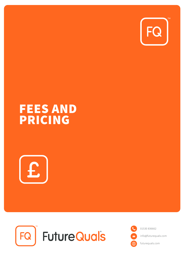

# **FEES AND PRICING**





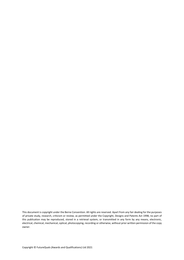This document is copyright under the Berne Convention. All rights are reserved. Apart from any fair dealing for the purposes of private study, research, criticism or review, as permitted under the Copyright, Designs and Patents Act 1998, no part of this publication may be reproduced, stored in a retrieval system, or transmitted in any form by any means, electronic, electrical, chemical, mechanical, optical, photocopying, recording or otherwise, without prior written permission of the copy owner.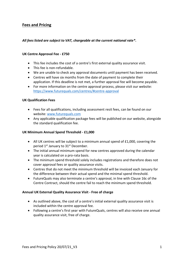### **Fees and Pricing**

#### *All fees listed are subject to VAT, chargeable at the current national rate\*.*

#### **UK Centre Approval Fee - £750**

- This fee includes the cost of a centre's first external quality assurance visit.
- This fee is non-refundable.
- We are unable to check any approval documents until payment has been received.
- Centres will have six months from the date of payment to complete their application. If this deadline is not met, a further approval fee will become payable.
- For more information on the centre approval process, please visit our website: <https://www.futurequals.com/centres/#centre-approval>

#### **UK Qualification Fees**

- Fees for all qualifications, including assessment resit fees, can be found on our website: [www.futurequals.com](http://www.futurequals.com/)
- Any applicable qualification package fees will be published on our website, alongside the standard qualification fee.

#### **UK Minimum Annual Spend Threshold - £1,000**

- All UK centres will be subject to a minimum annual spend of £1,000, covering the period 1<sup>st</sup> January to 31<sup>st</sup> December.
- The initial annual minimum spend for new centres approved during the calendar year is calculated on a pro-rata basis.
- The minimum spend threshold solely includes registrations and therefore does not cover approval fees or quality assurance visits.
- Centres that do not meet the minimum threshold will be invoiced each January for the difference between their actual spend and the minimal spend threshold.
- FutureQuals may also terminate a centre's approval, in line with Clause 16c of the Centre Contract, should the centre fail to reach the minimum spend threshold.

#### **Annual UK External Quality Assurance Visit - Free of charge**

- As outlined above, the cost of a centre's initial external quality assurance visit is included within the centre approval fee.
- Following a centre's first year with FutureQuals, centres will also receive one annual quality assurance visit, free of charge.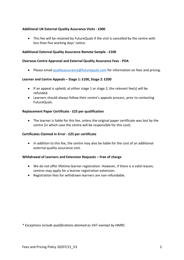#### **Additional UK External Quality Assurance Visits - £300**

• This fee will be retained by FutureQuals if the visit is cancelled by the centre with less than five working days' notice.

#### **Additional External Quality Assurance Remote Sample - £100**

#### **Overseas Centre Approval and External Quality Assurance Fees - POA**

• Please emai[l qualityassurance@futurequals.com](mailto:qualityassurance@futurequals.com) for information on fees and pricing.

#### **Learner and Centre Appeals – Stage 1: £100, Stage 2: £200**

- If an appeal is upheld, at either stage 1 or stage 2, the relevant fee(s) will be refunded.
- Learners should always follow their centre's appeals process, prior to contacting FutureQuals.

#### **Replacement Paper Certificate - £25 per qualification**

• The learner is liable for this fee, unless the original paper certificate was lost by the centre (in which case the centre will be responsible for this cost).

#### **Certificates Claimed in Error - £25 per certificate**

• In addition to this fee, the centre may also be liable for the cost of an additional external quality assurance visit.

#### **Withdrawal of Learners and Extension Requests – Free of charge**

- We do not offer lifetime learner registration. However, if there is a valid reason, centres may apply for a learner registration extension.
- Registration fees for withdrawn learners are non-refundable.

*\* Exceptions include qualifications deemed as VAT-exempt by HMRC.*